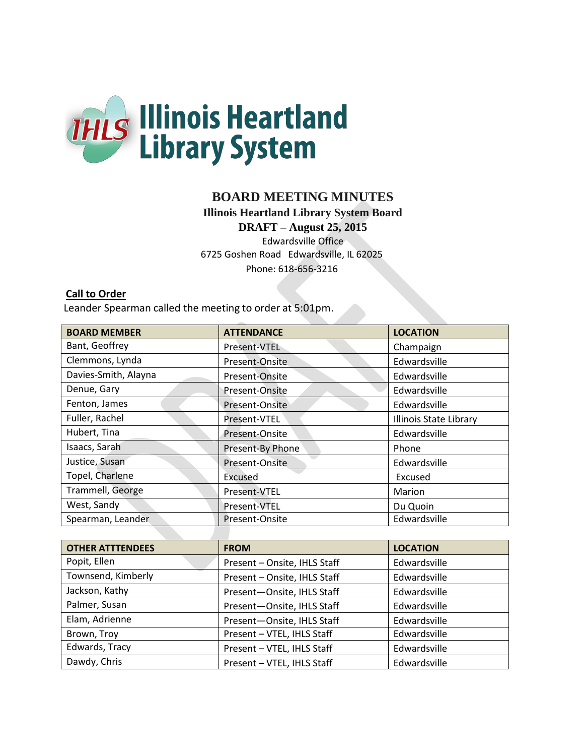

# **BOARD MEETING MINUTES**

**Illinois Heartland Library System Board** 

**DRAFT – August 25, 2015**

Edwardsville Office 6725 Goshen Road Edwardsville, IL 62025 Phone: 618-656-3216

### **Call to Order**

Leander Spearman called the meeting to order at 5:01pm.

| <b>BOARD MEMBER</b>  | <b>ATTENDANCE</b> | <b>LOCATION</b>        |
|----------------------|-------------------|------------------------|
| Bant, Geoffrey       | Present-VTEL      | Champaign              |
| Clemmons, Lynda      | Present-Onsite    | Edwardsville           |
| Davies-Smith, Alayna | Present-Onsite    | Edwardsville           |
| Denue, Gary          | Present-Onsite    | Edwardsville           |
| Fenton, James        | Present-Onsite    | Edwardsville           |
| Fuller, Rachel       | Present-VTEL      | Illinois State Library |
| Hubert, Tina         | Present-Onsite    | Edwardsville           |
| Isaacs, Sarah        | Present-By Phone  | Phone                  |
| Justice, Susan       | Present-Onsite    | Edwardsville           |
| Topel, Charlene      | Excused           | Excused                |
| Trammell, George     | Present-VTEL      | Marion                 |
| West, Sandy          | Present-VTEL      | Du Quoin               |
| Spearman, Leander    | Present-Onsite    | Edwardsville           |

| <b>OTHER ATTTENDEES</b> | <b>FROM</b>                  | <b>LOCATION</b> |
|-------------------------|------------------------------|-----------------|
| Popit, Ellen            | Present - Onsite, IHLS Staff | Edwardsville    |
| Townsend, Kimberly      | Present - Onsite, IHLS Staff | Edwardsville    |
| Jackson, Kathy          | Present-Onsite, IHLS Staff   | Edwardsville    |
| Palmer, Susan           | Present-Onsite, IHLS Staff   | Edwardsville    |
| Elam, Adrienne          | Present-Onsite, IHLS Staff   | Edwardsville    |
| Brown, Troy             | Present - VTEL, IHLS Staff   | Edwardsville    |
| Edwards, Tracy          | Present - VTEL, IHLS Staff   | Edwardsville    |
| Dawdy, Chris            | Present - VTEL, IHLS Staff   | Edwardsville    |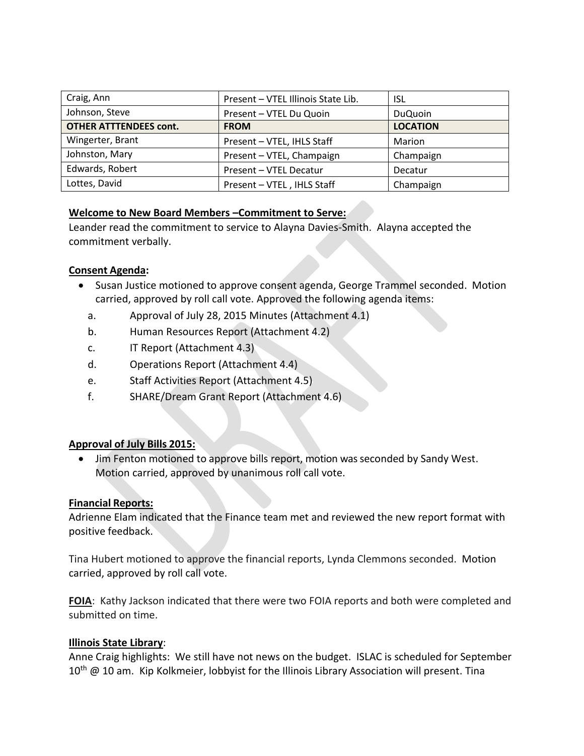| Craig, Ann                    | Present - VTEL Illinois State Lib. | ISL             |
|-------------------------------|------------------------------------|-----------------|
| Johnson, Steve                | Present - VTEL Du Quoin            | <b>DuQuoin</b>  |
| <b>OTHER ATTTENDEES cont.</b> | <b>FROM</b>                        | <b>LOCATION</b> |
| Wingerter, Brant              | Present - VTEL, IHLS Staff         | Marion          |
| Johnston, Mary                | Present - VTEL, Champaign          | Champaign       |
| Edwards, Robert               | Present - VTEL Decatur             | Decatur         |
| Lottes, David                 | Present - VTEL, IHLS Staff         | Champaign       |

### **Welcome to New Board Members –Commitment to Serve:**

Leander read the commitment to service to Alayna Davies-Smith. Alayna accepted the commitment verbally.

### **Consent Agenda:**

- Susan Justice motioned to approve consent agenda, George Trammel seconded. Motion carried, approved by roll call vote. Approved the following agenda items:
	- a. Approval of July 28, 2015 Minutes (Attachment 4.1)
	- b. Human Resources Report (Attachment 4.2)
	- c. IT Report (Attachment 4.3)
	- d. Operations Report (Attachment 4.4)
	- e. Staff Activities Report (Attachment 4.5)
	- f. SHARE/Dream Grant Report (Attachment 4.6)

### **Approval of July Bills 2015:**

 Jim Fenton motioned to approve bills report, motion was seconded by Sandy West. Motion carried, approved by unanimous roll call vote.

### **Financial Reports:**

Adrienne Elam indicated that the Finance team met and reviewed the new report format with positive feedback.

Tina Hubert motioned to approve the financial reports, Lynda Clemmons seconded. Motion carried, approved by roll call vote.

**FOIA**: Kathy Jackson indicated that there were two FOIA reports and both were completed and submitted on time.

### **Illinois State Library**:

Anne Craig highlights: We still have not news on the budget. ISLAC is scheduled for September  $10<sup>th</sup>$  @ 10 am. Kip Kolkmeier, lobbyist for the Illinois Library Association will present. Tina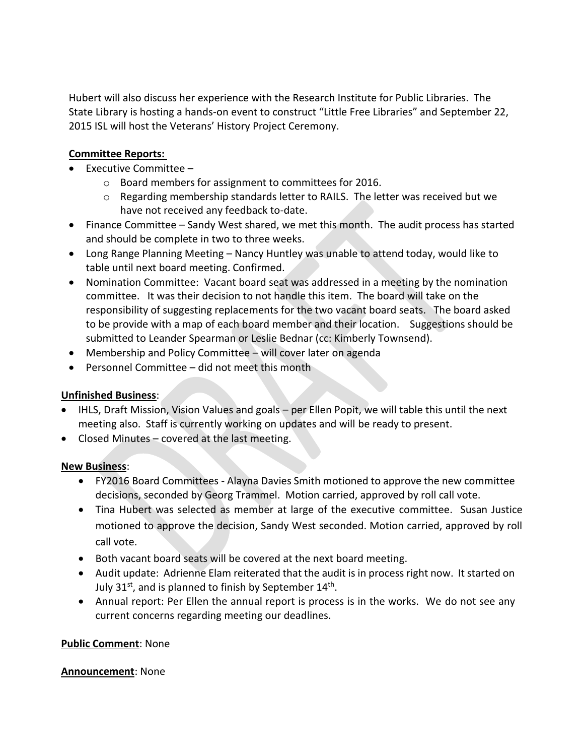Hubert will also discuss her experience with the Research Institute for Public Libraries. The State Library is hosting a hands-on event to construct "Little Free Libraries" and September 22, 2015 ISL will host the Veterans' History Project Ceremony.

## **Committee Reports:**

- Executive Committee
	- o Board members for assignment to committees for 2016.
	- $\circ$  Regarding membership standards letter to RAILS. The letter was received but we have not received any feedback to-date.
- Finance Committee Sandy West shared, we met this month. The audit process has started and should be complete in two to three weeks.
- Long Range Planning Meeting Nancy Huntley was unable to attend today, would like to table until next board meeting. Confirmed.
- Nomination Committee: Vacant board seat was addressed in a meeting by the nomination committee. It was their decision to not handle this item. The board will take on the responsibility of suggesting replacements for the two vacant board seats. The board asked to be provide with a map of each board member and their location. Suggestions should be submitted to Leander Spearman or Leslie Bednar (cc: Kimberly Townsend).
- Membership and Policy Committee will cover later on agenda
- Personnel Committee did not meet this month

### **Unfinished Business**:

- IHLS, Draft Mission, Vision Values and goals per Ellen Popit, we will table this until the next meeting also. Staff is currently working on updates and will be ready to present.
- Closed Minutes covered at the last meeting.

### **New Business**:

- FY2016 Board Committees Alayna Davies Smith motioned to approve the new committee decisions, seconded by Georg Trammel. Motion carried, approved by roll call vote.
- Tina Hubert was selected as member at large of the executive committee. Susan Justice motioned to approve the decision, Sandy West seconded. Motion carried, approved by roll call vote.
- Both vacant board seats will be covered at the next board meeting.
- Audit update: Adrienne Elam reiterated that the audit is in process right now. It started on July 31st, and is planned to finish by September 14<sup>th</sup>.
- Annual report: Per Ellen the annual report is process is in the works. We do not see any current concerns regarding meeting our deadlines.

### **Public Comment**: None

### **Announcement**: None